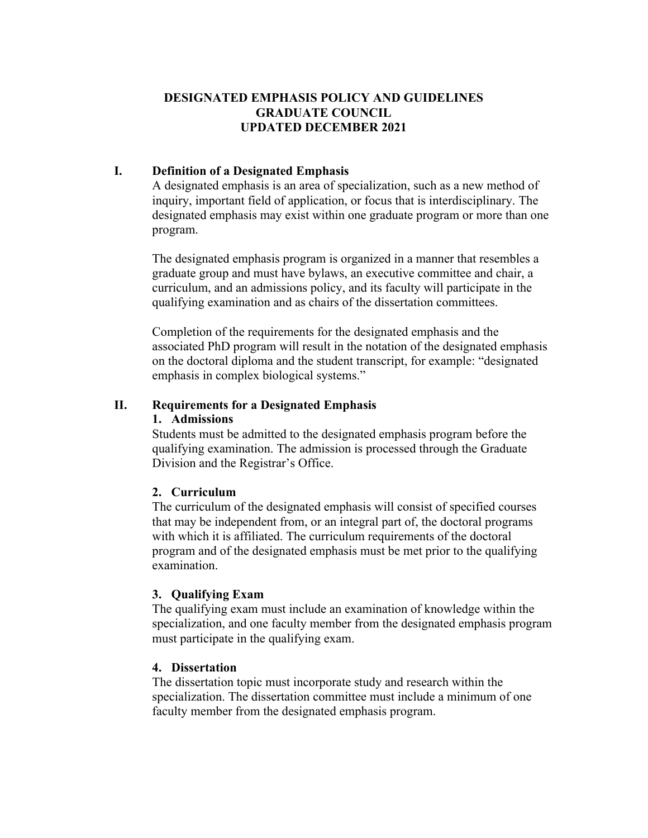# **DESIGNATED EMPHASIS POLICY AND GUIDELINES GRADUATE COUNCIL UPDATED DECEMBER 2021**

# **I. Definition of a Designated Emphasis**

A designated emphasis is an area of specialization, such as a new method of inquiry, important field of application, or focus that is interdisciplinary. The designated emphasis may exist within one graduate program or more than one program.

The designated emphasis program is organized in a manner that resembles a graduate group and must have bylaws, an executive committee and chair, a curriculum, and an admissions policy, and its faculty will participate in the qualifying examination and as chairs of the dissertation committees.

Completion of the requirements for the designated emphasis and the associated PhD program will result in the notation of the designated emphasis on the doctoral diploma and the student transcript, for example: "designated emphasis in complex biological systems."

## **II. Requirements for a Designated Emphasis**

### **1. Admissions**

Students must be admitted to the designated emphasis program before the qualifying examination. The admission is processed through the Graduate Division and the Registrar's Office.

### **2. Curriculum**

The curriculum of the designated emphasis will consist of specified courses that may be independent from, or an integral part of, the doctoral programs with which it is affiliated. The curriculum requirements of the doctoral program and of the designated emphasis must be met prior to the qualifying examination.

### **3. Qualifying Exam**

The qualifying exam must include an examination of knowledge within the specialization, and one faculty member from the designated emphasis program must participate in the qualifying exam.

### **4. Dissertation**

The dissertation topic must incorporate study and research within the specialization. The dissertation committee must include a minimum of one faculty member from the designated emphasis program.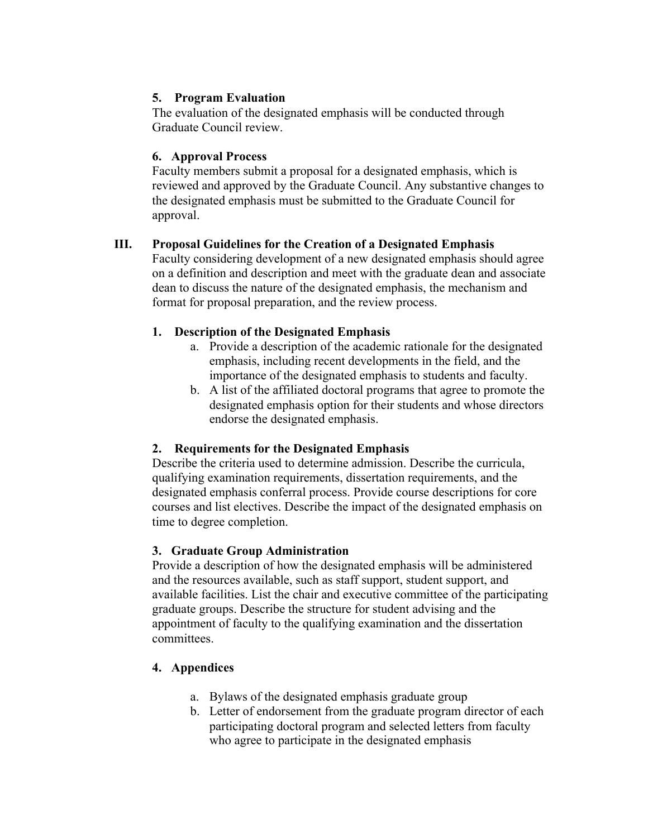# **5. Program Evaluation**

The evaluation of the designated emphasis will be conducted through Graduate Council review.

## **6. Approval Process**

Faculty members submit a proposal for a designated emphasis, which is reviewed and approved by the Graduate Council. Any substantive changes to the designated emphasis must be submitted to the Graduate Council for approval.

## **III. Proposal Guidelines for the Creation of a Designated Emphasis**

Faculty considering development of a new designated emphasis should agree on a definition and description and meet with the graduate dean and associate dean to discuss the nature of the designated emphasis, the mechanism and format for proposal preparation, and the review process.

## **1. Description of the Designated Emphasis**

- a. Provide a description of the academic rationale for the designated emphasis, including recent developments in the field, and the importance of the designated emphasis to students and faculty.
- b. A list of the affiliated doctoral programs that agree to promote the designated emphasis option for their students and whose directors endorse the designated emphasis.

# **2. Requirements for the Designated Emphasis**

Describe the criteria used to determine admission. Describe the curricula, qualifying examination requirements, dissertation requirements, and the designated emphasis conferral process. Provide course descriptions for core courses and list electives. Describe the impact of the designated emphasis on time to degree completion.

### **3. Graduate Group Administration**

Provide a description of how the designated emphasis will be administered and the resources available, such as staff support, student support, and available facilities. List the chair and executive committee of the participating graduate groups. Describe the structure for student advising and the appointment of faculty to the qualifying examination and the dissertation committees.

# **4. Appendices**

- a. Bylaws of the designated emphasis graduate group
- b. Letter of endorsement from the graduate program director of each participating doctoral program and selected letters from faculty who agree to participate in the designated emphasis